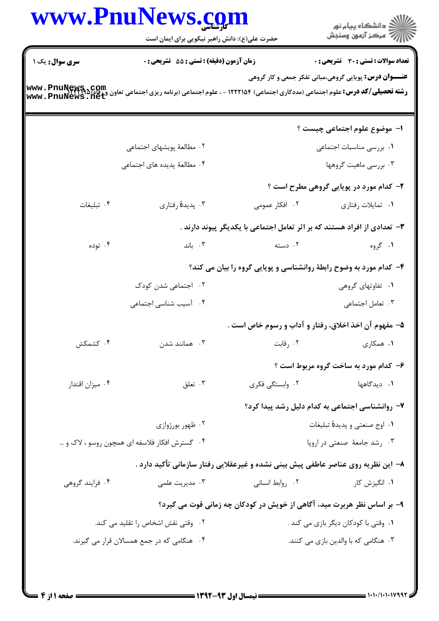|                                                                                                                                                       | حضرت علی(ع): دانش راهبر نیکویی برای ایمان است |                                                                                   | ڪ دانشڪاه پيا <sub>م</sub> نور<br>∕7 مرڪز آزمون وسنڊش         |  |
|-------------------------------------------------------------------------------------------------------------------------------------------------------|-----------------------------------------------|-----------------------------------------------------------------------------------|---------------------------------------------------------------|--|
| <b>سری سوال :</b> یک ۱                                                                                                                                | زمان آزمون (دقيقه) : تستى : 55 - تشريحي : 0   |                                                                                   | تعداد سوالات : تستى : 30 - تشريحي : 0                         |  |
| <b>رشته تحصیلی/کد درس:</b> علوم اجتماعی (مددکاری اجتماعی) ۱۲۲۲۱۵۴ - ، علوم اجتماعی (برنامه ریزی اجتماعی تعاون و ر <b>ناه)<br/>www . PnuNews . net</b> |                                               |                                                                                   | <b>عنـــوان درس:</b> پویایی گروهی،مبانی تفکر جمعی و کار گروهی |  |
|                                                                                                                                                       |                                               |                                                                                   | <b>ا- موضوع علوم اجتماعی چیست</b> ؟                           |  |
|                                                                                                                                                       | ۰۲ مطالعهٔ پویشهای اجتماعی                    |                                                                                   | ٠١ بررسي مناسبات اجتماعي                                      |  |
|                                                                                                                                                       | ۴. مطالعهٔ پدیده های اجتماعی                  |                                                                                   | ۰۳ بررسی ماهیت گروهها                                         |  |
|                                                                                                                                                       |                                               |                                                                                   | ۲- کدام مورد در پویایی گروهی مطرح است ؟                       |  |
| ۰۴ تبلیغات                                                                                                                                            | ۰۳ پدیدهٔ رفتاری                              | ۰۲ افکار عمومی                                                                    | ٠١ تمايلات رفتاري                                             |  |
|                                                                                                                                                       |                                               | ۳- تعدادی از افراد هستند که بر اثر تعامل اجتماعی با یکدیگر پیوند دارند .          |                                                               |  |
| ۰۴ توده                                                                                                                                               | $\cdot$ باند                                  | ۰۲ دسته                                                                           | ۰۱ گروه                                                       |  |
|                                                                                                                                                       |                                               | ۴- کدام مورد به وضوح رابطهٔ روانشناسی و پویایی گروه را بیان می کند؟               |                                                               |  |
|                                                                                                                                                       | ۰۲ اجتماعی شدن کودک                           |                                                                                   | ۰۱ تفاوتهای گروهی                                             |  |
|                                                                                                                                                       | ۰۴ آسیب شناسی اجتماعی                         |                                                                                   | ۰۳ تعامل اجتماعی                                              |  |
|                                                                                                                                                       |                                               | ۵– مفهوم آن اخذ اخلاق، رفتار و آداب و رسوم خاص است .                              |                                                               |  |
| ۰۴ کشمکش                                                                                                                                              | ۰۳ همانند شدن                                 | ۰۲ رقابت                                                                          | ۰۱ همکاری                                                     |  |
|                                                                                                                                                       |                                               |                                                                                   | ۶- کدام مورد به ساخت گروه مربوط است ؟                         |  |
| ۰۴ میزان اقتدار                                                                                                                                       | ۰۳ تعلق                                       | ۰۲ وابستگی فکری                                                                   | <b>۱.</b> دیدگاهها                                            |  |
|                                                                                                                                                       |                                               |                                                                                   | ۷- روانشناسی اجتماعی به کدام دلیل رشد پیدا کرد؟               |  |
| ۰۲ ظهور بورژوازی                                                                                                                                      |                                               | ٠١ اوج صنعتي و پديدۀ تبليغات                                                      |                                                               |  |
| ۰۴ گسترش افکار فلاسفه ای همچون روسو ، لاک و …                                                                                                         |                                               | ۰۳ رشد جامعهٔ صنعتی در اروپا                                                      |                                                               |  |
|                                                                                                                                                       |                                               | ۸– این نظریه روی عناصر عاطفی پیش بینی نشده و غیرعقلایی رفتار سازمانی تأکید دارد . |                                                               |  |
| ۰۴ فرایند گروهی                                                                                                                                       | ۰۳ مدیریت علمی                                | ٠٢ روابط انسانى                                                                   | ۰۱ انگیزش کار                                                 |  |
|                                                                                                                                                       |                                               | ۹- بر اساس نظر هربرت مید، آگاهی از خویش در کودکان چه زمانی قوت می گیرد؟           |                                                               |  |
| ۰۲ وقتی نقش اشخاص را تقلید می کند.                                                                                                                    |                                               |                                                                                   | ۰۱ وقتی با کودکان دیگر بازی می کند .                          |  |
| ۰۴ هنگامی که در جمع همسالان قرار می گیرند.                                                                                                            |                                               |                                                                                   | ۰۳ هنگامی که با والدین بازی می کنند.                          |  |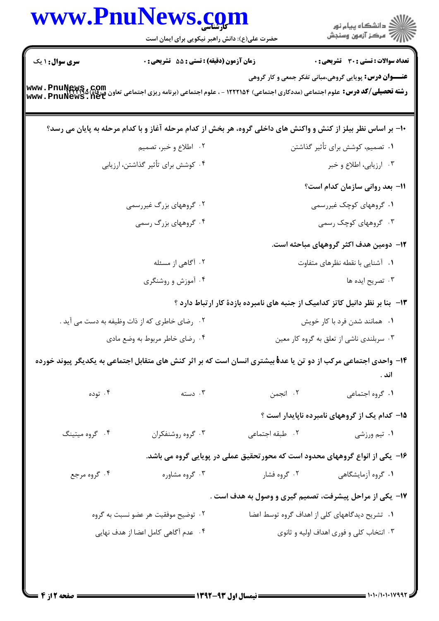|                                     | www.PnuNews.com<br>حضرت علی(ع): دانش راهبر نیکویی برای ایمان است                                                                     |                                                                               | الاد دانشگاه پيام نور<br>الا مرکز آزمون وسنجش |
|-------------------------------------|--------------------------------------------------------------------------------------------------------------------------------------|-------------------------------------------------------------------------------|-----------------------------------------------|
| <b>سری سوال : ۱ یک</b>              | زمان آزمون (دقیقه) : تستی : 55 آتشریحی : 0                                                                                           |                                                                               | <b>تعداد سوالات : تستی : 30 ٪ تشریحی : 0</b>  |
|                                     | رشته تحصیلی/کد درس: علوم اجتماعی (مددکاری اجتماعی) ۱۲۲۲۱۵۴ - ، علوم اجتماعی (برنامه ریزی اجتماعی تعاون ورقاه)<br>www . PnuNews . net | <b>عنـــوان درس:</b> پویایی گروهی،مبانی تفکر جمعی و کار گروهی                 |                                               |
|                                     | ۱۰- بر اساس نظر بیلز از کنش و واکنش های داخلی گروه، هر بخش از کدام مرحله آغاز و با کدام مرحله به پایان می رسد؟                       |                                                                               |                                               |
|                                     | ۲.۔ اطلاع و خبر، تصمیم                                                                                                               |                                                                               | ۰۱ تصمیم، کوشش برای تأثیر گذاشتن              |
|                                     | ۰۴ کوشش برای تأثیر گذاشتن، ارزیابی                                                                                                   |                                                                               | ۰۳ ارزیابی، اطلاع و خبر                       |
|                                     |                                                                                                                                      |                                                                               | 11- بعد روانی سازمان کدام است؟                |
|                                     | ۰۲ گروههای بزرگ غیررسمی                                                                                                              |                                                                               | ۰۱ گروههای کوچک غیررسمی                       |
|                                     | ۰۴ گروههای بزرگ رسمی                                                                                                                 |                                                                               | ۰۳ گروههای کوچک رسمی                          |
|                                     |                                                                                                                                      |                                                                               | ۱۲– دومین هدف اکثر گروههای مباحثه است.        |
|                                     | ۰۲ آگاهی از مسئله                                                                                                                    |                                                                               | ۰۱ آشنایی با نقطه نظرهای متفاوت               |
|                                     | ۰۴ آموزش و روشنگری                                                                                                                   |                                                                               | ۰۳ تصریح ایده ها                              |
|                                     |                                                                                                                                      | ۱۳- بنا بر نظر دانیل کاتز کدامیک از جنبه های نامبرده بازدهٔ کار ارتباط دارد ؟ |                                               |
|                                     | ۰۲ رضای خاطری که از ذات وظیفه به دست می آید .                                                                                        |                                                                               | ۰۱ همانند شدن فرد با کار خویش                 |
| ۰۴ رضای خاطر مربوط به وضع مادی      |                                                                                                                                      |                                                                               | ۰۳ سربلندي ناشي از تعلق به گروه کار معين      |
|                                     | ۱۴– واحدی اجتماعی مرکب از دو تن یا عدهٔ بیشتری انسان است که بر اثر کنش های متقابل اجتماعی به یکدیگر پیوند خورده                      |                                                                               | اند .                                         |
| ۰۴ توده                             | دسته $\cdot$ ۳                                                                                                                       | ۰۲ انجمن                                                                      | ٠١ گروه اجتماعي                               |
|                                     |                                                                                                                                      |                                                                               | ۱۵- کدام یک از گروههای نامبرده ناپایدار است ؟ |
| ۰۴ گروه میتینگ                      | ۰۳ گروه روشنفکران                                                                                                                    | ٢. طبقه اجتماعي                                                               | ۰۱ تیم ورزشی                                  |
|                                     |                                                                                                                                      | ۱۶- یکی از انواع گروههای محدود است که محورتحقیق عملی در پویایی گروه می باشد.  |                                               |
| ۰۴ گروه مرجع                        | ۰۳ گروه مشاوره                                                                                                                       | ۰۲ گروه فشار                                                                  | ۰۱ گروه آزمایشگاهی                            |
|                                     |                                                                                                                                      | ۱۷- یکی از مراحل پیشرفت، تصمیم گیری و وصول به هدف است .                       |                                               |
| ۰۲ توضیح موفقیت هر عضو نسبت به گروه |                                                                                                                                      | ۰۱ تشریح دیدگاههای کلی از اهداف گروه توسط اعضا                                |                                               |
| ۰۴ عدم آگاهی کامل اعضا از هدف نهایی |                                                                                                                                      |                                                                               | ۰۳ انتخاب کلی و فوری اهداف اولیه و ثانوی      |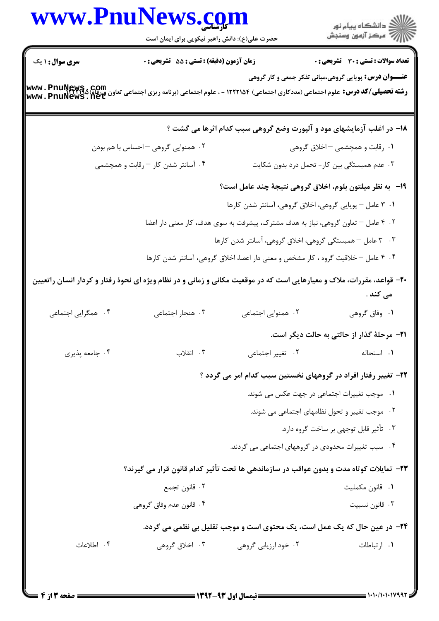## www.PnuNews.com اران<br>است دانشگاه پیام نور<br>است حضرت علی(ع): دانش راهبر نیکویی برای ایمان است **تعداد سوالات : تستي : 30 - تشريحي : 0 سری سوال : ۱ یک زمان آزمون (دقیقه) : تستی : 55 تشریحی: 0 عنــوان درس:** پویایی گروهی،مبانی تفکر جمعی و کار گروهی **رشته تحصیلی/کد درس:** علوم اجتماعی (مددکاری اجتماعی) ۱۲۲۲۱۵۴ - ، علوم اجتماعی (برنامه ریزی اجتماعی تعاون ورقاه) www . PnuNews<br>www . PnuNews . net ١٨- در اغلب آزمایشهای مود و آلپورت وضع گروهی سبب کدام اثرها می گشت ؟ ۰۲ همنوایی گروهی – احساس با هم بودن ۰۱ , قابت و همچشمی – اخلاق گروهی ۰۴ آسانتر شدن کار – رقابت و همچشمی ۰۳ عدم همبستگی بین کار- تحمل درد بدون شکایت 19- به نظر میلتون بلوم، اخلاق گروهی نتیجهٔ چند عامل است؟ ۰۱ ۳ عامل – پویایی گروهی، اخلاق گروهی، آسانتر شدن کارها ۰۲ ۴ عامل – تعاون گروهی، نیاز به هدف مشترک، پیشرفت به سوی هدف، کار معنی دار اعضا ۰۳ ـ ۳ عامل – همبستگی گروهی، اخلاق گروهی، آسانتر شدن کارها ۰۴ کامل – خلاقیت گروه ، کار مشخص و معنی دار اعضا، اخلاق گروهی، آسانتر شدن کارها \* ۲۰- قواعد، مقررات، ملاک و معیارهایی است که در موقعیت مکانی و زمانی و در نظام ویژه ای نحوهٔ رفتار و کردار انسان راتعیین مے کند . ۰۴ همگرایی اجتما*ع*ی ۰۳ هنجار اجتماعی ۰۲ همنوایی اجتما*عی* ۰۱ وفاق گروهي **۲۱**- مرحلهٔ گذار از حالتی به حالت دیگر است. ۰۴ جامعه پذیری ۰۳ انقلاب ۰۲ تغییر اجتما*عی* ۰۱ استحاله ۲۲- تغییر رفتار افراد در گروههای نخستین سبب کدام امر می گردد ؟ ۰۱ موجب تغییرات اجتماعی در جهت عکس می شوند. ۰۲ موجب تغییر و تحول نظامهای اجتماعی می شوند. ۰۳ تأثیر قابل توجهی بر ساخت گروه دارد. ۰۴ سبب تغییرات محدودی در گروههای اجتماعی می گردند. ۲۳- تمایلات کوتاه مدت و بدون عواقب در سازماندهی ها تحت تأثیر کدام قانون قرار می گیرند؟ ٠٢ قانون تجمع ٠١. قانون مكمليت ۰۴ قانون عدم وفاق گروهی ۰۳ قانون نسبیت ٢۴- در عین حال که یک عمل است، یک محتوی است و موجب تقلیل بی نظمی می گردد. ۰۴ اطلاعات ۳. اخلاق گروهي ۲. خود ارزیابی گروهی ۰۱ ا, تباطات